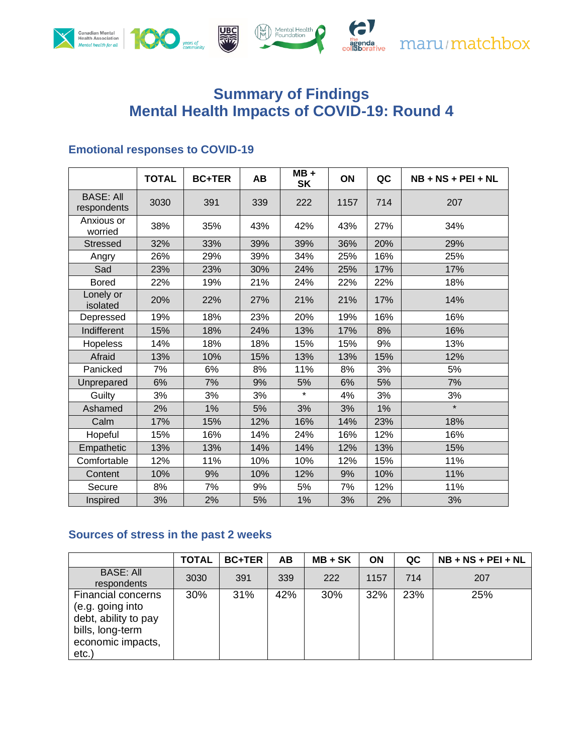

# **Summary of Findings Mental Health Impacts of COVID-19: Round 4**

## **Emotional responses to COVID-19**

|                                 | <b>TOTAL</b> | <b>BC+TER</b> | AB  | $MB +$<br><b>SK</b> | ON   | QC  | $NB + NS + PEI + NL$ |
|---------------------------------|--------------|---------------|-----|---------------------|------|-----|----------------------|
| <b>BASE: All</b><br>respondents | 3030         | 391           | 339 | 222                 | 1157 | 714 | 207                  |
| Anxious or<br>worried           | 38%          | 35%           | 43% | 42%                 | 43%  | 27% | 34%                  |
| <b>Stressed</b>                 | 32%          | 33%           | 39% | 39%                 | 36%  | 20% | 29%                  |
| Angry                           | 26%          | 29%           | 39% | 34%                 | 25%  | 16% | 25%                  |
| Sad                             | 23%          | 23%           | 30% | 24%                 | 25%  | 17% | 17%                  |
| <b>Bored</b>                    | 22%          | 19%           | 21% | 24%                 | 22%  | 22% | 18%                  |
| Lonely or<br>isolated           | 20%          | 22%           | 27% | 21%                 | 21%  | 17% | 14%                  |
| Depressed                       | 19%          | 18%           | 23% | 20%                 | 19%  | 16% | 16%                  |
| Indifferent                     | 15%          | 18%           | 24% | 13%                 | 17%  | 8%  | 16%                  |
| <b>Hopeless</b>                 | 14%          | 18%           | 18% | 15%                 | 15%  | 9%  | 13%                  |
| Afraid                          | 13%          | 10%           | 15% | 13%                 | 13%  | 15% | 12%                  |
| Panicked                        | 7%           | 6%            | 8%  | 11%                 | 8%   | 3%  | 5%                   |
| Unprepared                      | 6%           | 7%            | 9%  | 5%                  | 6%   | 5%  | 7%                   |
| Guilty                          | 3%           | 3%            | 3%  | $\star$             | 4%   | 3%  | 3%                   |
| Ashamed                         | 2%           | $1\%$         | 5%  | 3%                  | 3%   | 1%  | $\star$              |
| Calm                            | 17%          | 15%           | 12% | 16%                 | 14%  | 23% | 18%                  |
| Hopeful                         | 15%          | 16%           | 14% | 24%                 | 16%  | 12% | 16%                  |
| Empathetic                      | 13%          | 13%           | 14% | 14%                 | 12%  | 13% | 15%                  |
| Comfortable                     | 12%          | 11%           | 10% | 10%                 | 12%  | 15% | 11%                  |
| Content                         | 10%          | 9%            | 10% | 12%                 | 9%   | 10% | 11%                  |
| Secure                          | 8%           | 7%            | 9%  | 5%                  | 7%   | 12% | 11%                  |
| Inspired                        | 3%           | 2%            | 5%  | 1%                  | 3%   | 2%  | 3%                   |

## **Sources of stress in the past 2 weeks**

|                                                                                                                 | <b>TOTAL</b> | <b>BC+TER</b> | AB  | $MB + SK$ | <b>ON</b> | QC  | $NB + NS + PEI + NL$ |
|-----------------------------------------------------------------------------------------------------------------|--------------|---------------|-----|-----------|-----------|-----|----------------------|
| <b>BASE: All</b><br>respondents                                                                                 | 3030         | 391           | 339 | 222       | 1157      | 714 | 207                  |
| Financial concerns<br>(e.g. going into<br>debt, ability to pay<br>bills, long-term<br>economic impacts,<br>etc. | 30%          | 31%           | 42% | 30%       | 32%       | 23% | 25%                  |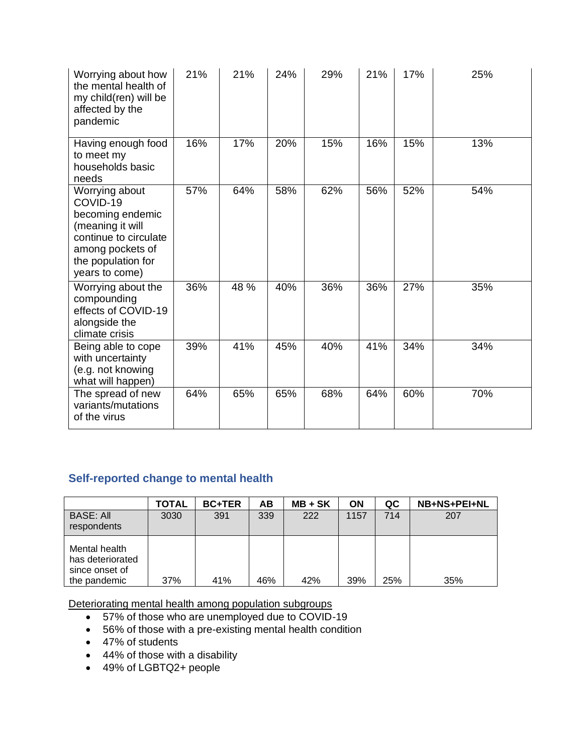| Worrying about how<br>the mental health of<br>my child(ren) will be<br>affected by the<br>pandemic                                                      | 21% | 21%  | 24% | 29% | 21% | 17% | 25% |
|---------------------------------------------------------------------------------------------------------------------------------------------------------|-----|------|-----|-----|-----|-----|-----|
| Having enough food<br>to meet my<br>households basic<br>needs                                                                                           | 16% | 17%  | 20% | 15% | 16% | 15% | 13% |
| Worrying about<br>COVID-19<br>becoming endemic<br>(meaning it will<br>continue to circulate<br>among pockets of<br>the population for<br>years to come) | 57% | 64%  | 58% | 62% | 56% | 52% | 54% |
| Worrying about the<br>compounding<br>effects of COVID-19<br>alongside the<br>climate crisis                                                             | 36% | 48 % | 40% | 36% | 36% | 27% | 35% |
| Being able to cope<br>with uncertainty<br>(e.g. not knowing<br>what will happen)                                                                        | 39% | 41%  | 45% | 40% | 41% | 34% | 34% |
| The spread of new<br>variants/mutations<br>of the virus                                                                                                 | 64% | 65%  | 65% | 68% | 64% | 60% | 70% |

## **Self-reported change to mental health**

|                                                                     | <b>TOTAL</b> | <b>BC+TER</b> | AB  | $MB + SK$ | ON   | QC  | NB+NS+PEI+NL |
|---------------------------------------------------------------------|--------------|---------------|-----|-----------|------|-----|--------------|
| <b>BASE: All</b><br>respondents                                     | 3030         | 391           | 339 | 222       | 1157 | 714 | 207          |
| Mental health<br>has deteriorated<br>since onset of<br>the pandemic | 37%          | 41%           | 46% | 42%       | 39%  | 25% | 35%          |

Deteriorating mental health among population subgroups

- 57% of those who are unemployed due to COVID-19
- 56% of those with a pre-existing mental health condition
- 47% of students
- 44% of those with a disability
- 49% of LGBTQ2+ people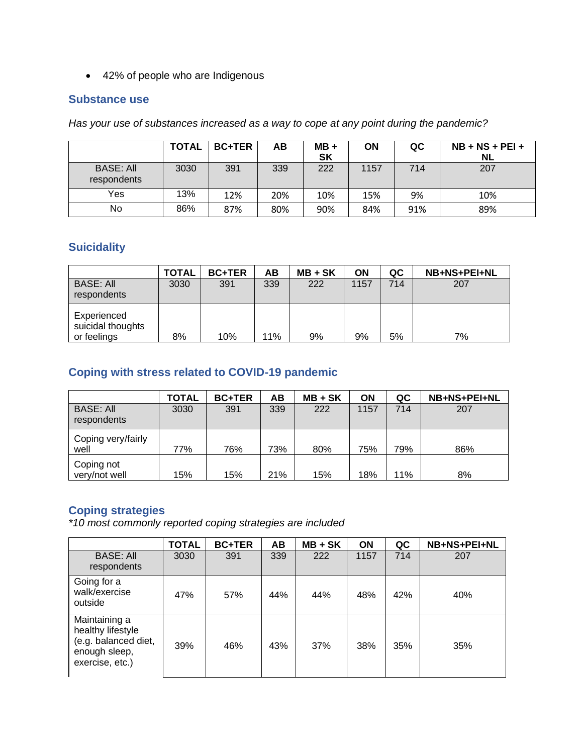• 42% of people who are Indigenous

#### **Substance use**

*Has your use of substances increased as a way to cope at any point during the pandemic?*

|                                 | <b>TOTAL</b> | <b>BC+TER</b> | AВ  | $MB +$<br><b>SK</b> | ON   | QC  | $NB + NS + PEI +$<br>NL |
|---------------------------------|--------------|---------------|-----|---------------------|------|-----|-------------------------|
| <b>BASE: All</b><br>respondents | 3030         | 391           | 339 | 222                 | 1157 | 714 | 207                     |
| Yes                             | 13%          | 12%           | 20% | 10%                 | 15%  | 9%  | 10%                     |
| No                              | 86%          | 87%           | 80% | 90%                 | 84%  | 91% | 89%                     |

#### **Suicidality**

|                                                 | TOTAL | <b>BC+TER</b> | AB  | $MB + SK$ | ON   | QC  | NB+NS+PEI+NL |
|-------------------------------------------------|-------|---------------|-----|-----------|------|-----|--------------|
| <b>BASE: All</b><br>respondents                 | 3030  | 391           | 339 | 222       | 1157 | 714 | 207          |
| Experienced<br>suicidal thoughts<br>or feelings | 8%    | 10%           | 11% | 9%        | 9%   | 5%  | 7%           |

### **Coping with stress related to COVID-19 pandemic**

|                                 | <b>TOTAL</b> | <b>BC+TER</b> | ΑВ  | $MB + SK$ | ON   | QC  | NB+NS+PEI+NL |
|---------------------------------|--------------|---------------|-----|-----------|------|-----|--------------|
| <b>BASE: All</b><br>respondents | 3030         | 391           | 339 | 222       | 1157 | 714 | 207          |
| Coping very/fairly<br>well      | 77%          | 76%           | 73% | 80%       | 75%  | 79% | 86%          |
| Coping not<br>very/not well     | 15%          | 15%           | 21% | 15%       | 18%  | 11% | 8%           |

## **Coping strategies**

*\*10 most commonly reported coping strategies are included*

|                                                                                                | <b>TOTAL</b> | <b>BC+TER</b> | AB  | $MB + SK$ | <b>ON</b> | QC  | NB+NS+PEI+NL |
|------------------------------------------------------------------------------------------------|--------------|---------------|-----|-----------|-----------|-----|--------------|
| <b>BASE: All</b><br>respondents                                                                | 3030         | 391           | 339 | 222       | 1157      | 714 | 207          |
| Going for a<br>walk/exercise<br>outside                                                        | 47%          | 57%           | 44% | 44%       | 48%       | 42% | 40%          |
| Maintaining a<br>healthy lifestyle<br>(e.g. balanced diet,<br>enough sleep,<br>exercise, etc.) | 39%          | 46%           | 43% | 37%       | 38%       | 35% | 35%          |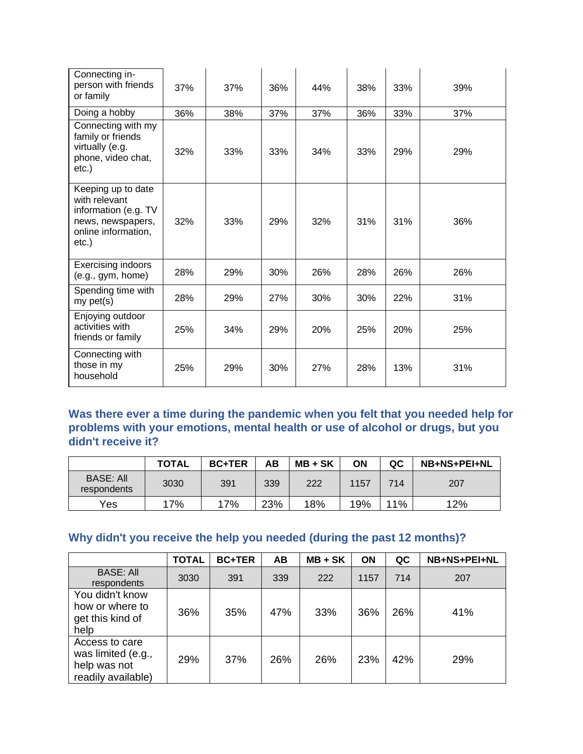| Connecting in-<br>person with friends<br>or family                                                               | 37% | 37% | 36% | 44% | 38% | 33% | 39% |
|------------------------------------------------------------------------------------------------------------------|-----|-----|-----|-----|-----|-----|-----|
| Doing a hobby                                                                                                    | 36% | 38% | 37% | 37% | 36% | 33% | 37% |
| Connecting with my<br>family or friends<br>virtually (e.g.<br>phone, video chat,<br>etc.)                        | 32% | 33% | 33% | 34% | 33% | 29% | 29% |
| Keeping up to date<br>with relevant<br>information (e.g. TV<br>news, newspapers,<br>online information,<br>etc.) | 32% | 33% | 29% | 32% | 31% | 31% | 36% |
| <b>Exercising indoors</b><br>(e.g., gym, home)                                                                   | 28% | 29% | 30% | 26% | 28% | 26% | 26% |
| Spending time with<br>my <sub>pet(s)</sub>                                                                       | 28% | 29% | 27% | 30% | 30% | 22% | 31% |
| Enjoying outdoor<br>activities with<br>friends or family                                                         | 25% | 34% | 29% | 20% | 25% | 20% | 25% |
| Connecting with<br>those in my<br>household                                                                      | 25% | 29% | 30% | 27% | 28% | 13% | 31% |

**Was there ever a time during the pandemic when you felt that you needed help for problems with your emotions, mental health or use of alcohol or drugs, but you didn't receive it?**

|                                 | <b>TOTAL</b> | <b>BC+TER</b> | AB  | $MB + SK$ | ΟN   | QC  | <b>NB+NS+PEI+NL</b> |
|---------------------------------|--------------|---------------|-----|-----------|------|-----|---------------------|
| <b>BASE: All</b><br>respondents | 3030         | 391           | 339 | 222       | 1157 | 714 | 207                 |
| Yes                             | 17%          | 17%           | 23% | 18%       | 19%  | 11% | 12%                 |

## **Why didn't you receive the help you needed (during the past 12 months)?**

|                                                                            | <b>TOTAL</b> | <b>BC+TER</b> | <b>AB</b> | $MB + SK$ | <b>ON</b> | QC  | NB+NS+PEI+NL |
|----------------------------------------------------------------------------|--------------|---------------|-----------|-----------|-----------|-----|--------------|
| <b>BASE: All</b><br>respondents                                            | 3030         | 391           | 339       | 222       | 1157      | 714 | 207          |
| You didn't know<br>how or where to<br>get this kind of<br>help             | 36%          | 35%           | 47%       | 33%       | 36%       | 26% | 41%          |
| Access to care<br>was limited (e.g.,<br>help was not<br>readily available) | 29%          | 37%           | 26%       | 26%       | 23%       | 42% | 29%          |